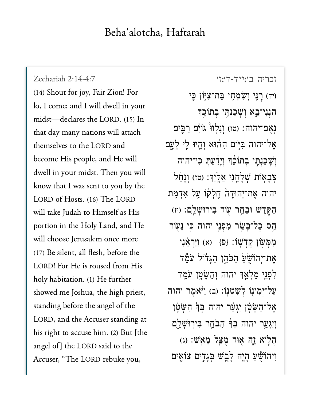## $\begin{bmatrix} 1 & 1 & 1 & 1 \\ 0 & 1 & 1 & 1 \end{bmatrix}$

[זכריה ב׳:י״ד-ד׳:ז׳](https://www.sefaria.org/Zechariah%202:14-4:7) 2:14-4:7 Zechariah Zechariah 2:14-4:7<br>(14) [Shout for joy, F](https://www.sefaria.org/Zechariah%202:14-4:7)air Zion! For Zechariah 2:14-4:7 lo, I come; and I will dwell in your midst—declares the LORD. (15) In that day many nations will attach themselves to the LORD and become His people, and He will dwell in your midst. Then you will know that I was sent to you by the LORD of Hosts. (16) The LORD will take Judah to Himself as His portion in the Holy Land, and He choose Jerusalem once more.<br>Be silent, all flesh, before the  $\overline{\text{will}}$  $(17)$  Be silent, all flesh, before the LORD! For He is roused from His holy habitation. (1) He further showed me Joshua, the high priest, standing before the angel of the LORD, and the Accuser standing at his right to accuse him. (2) But [the angel of] the LORD said to the Accuser, "The LORD rebuke you,

יד) רַ<sup>ְנֵי</sup> וְשָׂמְחֶי בַּת־צִיּּוֹן כֵּי ּהְנִנִי־בֵא וְשָׁכַנְתֵּי בְתוֹכֵךְ נְאָם־יהוה: (טו) וְנָלְווּ ۚ גוֹיִם רַבֵּים אֲל־יהוה בַּיּֽוֹם הַהוֹא וְהָיוּ לֵי לְעֲם וְשָׁכַנְתֵּי בְתוֹבֵדְ וְיָדַ עַתְּ כִּי־יהוה צִבְאָוֹת שְׁלָחֲנִי אֱלֵיְךָ: (טז) וְנָחַל יהוה אֵת־יִהוּדָה חֵלְקוֹ עַל אַדְמַת ּהַקְּדֵשׁ וּּבָחֵר עָוֹד בִּירוּּשָׁלֵֵם: (יז) הַם כָּל־בָּשָׂר מִפְּנֵי יהוה כִּי נֵעְוֹר מְמְעָוֹן קַדְשָׁוֹ: {פ<sup>ָּן</sup> (א) וַיַּרְאֶנִי אֵת־יִהוֹשָׂעַ הַכֹּהֵן הַגָּדוֹל עֹמֶד ַלְפָּנֵי מַלְאֲךְ יהוה וְהַשָּׂטֵ֣ן עֹמֵ֣ד עֲל־יִמְינו לְשָׂטְנוֹ: (ב) וַיּּאֲמֶר יהוה אֲל־הַשָּׂטָן יְגְעַר יהוה בִּךְ הַשָּׂטָן וְיָגְעַר יהוה בְּךָ<del>ּ הַבֹּחֵר בְּיִרוּשָׁלֶם</del> ָהַלְוֹא ָזֶה אִוּד מָצְל מֵאֵֽֽשׁ: (ג) וִיהוֹשֵׁעַ הְיֶה לְבָשׁ בְּגָדִים צוֹאֵים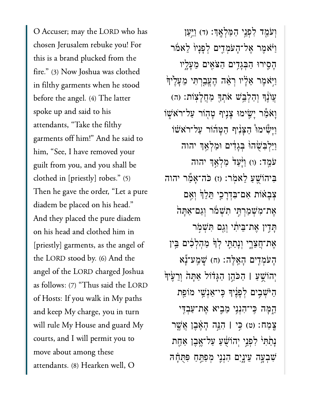O Accuser; may the LORD who has chosen Jerusalem rebuke you! For this is a brand plucked from the<br>fire." (3) Now Joshua was clothed this is a brand plucked from the in filthy garments when he stood before the angel. (4) The latter spoke up and said to his attendants, "Take the filthy garments off him!" And he said to him, "See, I have removed your clothed in  $\frac{1}{p}$  robes. The initial robes is  $\frac{1}{p}$  $\frac{d}{dt}$ clothed in [priestly] robes." (5) Then he gave the order, "Let a pure diadem be placed on his head." And they placed the pure diadem on his head and clothed him in [priestly] garments, as the angel of the LORD stood by. (6) And the angel of the LORD charged Joshua as follows: (7) "Thus said the LORD of Hosts: If you walk in My paths and keep My charge, you in turn<br>will rule My House and guard My and keep My charge, you in turn courts, and I will permit you to move about among these attendants. (8) Hearken well, O

וְעַמֵד לְפָּנֵי הַמַּלְאֶךָ: (ד) וַיִּעַן ַוִּ $\kappa$ מֶר אֱל־הָעֹמְדִים לְפָנַיוֹ לָאמֹר ָהִ֛סירּו ַהְּבָגִ֥דים ַהֹּצִ֖אים ֵמָעָ֑ליו וַיִּאמֵר אֵלָיו רְאֵ֫ה הֶעֱבַרְתִּי מֵעָלֶי<sub>ּד</sub>ָּ ָעֲוֹנֵךְ וְהַלְבֵּשׁ אֹתְךָ מַחֲלָצְוֹת: (ה) וַאֹמַר יַשֵׂימוּ צַנֵּיף טַהְוֹר עַל־רֹא<sup>ָ</sup>שָׁוֹ וַיַּשָׁׂימוּ הַצַּנִיף הַטֲהוֹר עַל־רֹאּשׁוֹ וַיַּלְבִּשָׂהוּ בְּגַדִים וּמַלְאֵדְ יהוה ֿעֹמֵד: (ו) וַיָּּעַד כַּלְאֵךְ יהוה ּבִּיהוֹשֵׁעַ לֵאמָר: (ז) כֹּה־אֲמֶר יהוה ִצְבָאֹוֹת אִם־בִּדְרַכֵי תֵּלֵךְ וְאֵם ּאֶת־מְּשָׁמַרְתֵּי תְּשָׁמֹר וְגַם־אַתַּה ָתַּדִין אֵת־בֵּיתִי וְגַם תִּשְׁמִר אֶת־חֲצֵרֶי וְנָתַתִּי לְדְּ מַהָלְכִוּם בֵּין ָהָעֹמְדִים הָאֱלֶה: (ח) שֶׁמַע־נָّא יְהוֹשֵׁעַ l הַכֹּהֵן הַגָּדֹוֹל אַתָּה וְרֵעֵ<sup>ׂיְ</sup>דְּ ַהֹּיְׁשִ֣בים ְלָפֶ֔ניָך ִּֽכי־ַאְנֵׁ֥שי מֹוֵ֖פת ֵ֑הָּמה ִּֽכי־ִהְנִ֥ני ֵמִ֛ביא ֶאת־ַעְבִּ֖די ֶֽצַמח׃ )ט( ִּ֣כי **׀** ִהֵּ֣נה ָהֶ֗אֶבן ֲאֶׁ֤שר **ּנַתֲתִּי** לְפָנֵי יְהוֹשָׁעַ עַל־אֱבֶן אַחֶת ְשִׁבְעָּה עֵינֶיִם הִנִנִּי מִפַּחֵּחַ פִּתְּחָה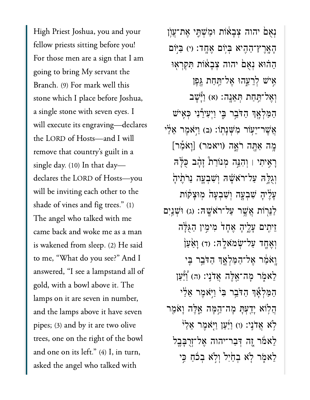High Priest Joshua, you and your  $\begin{array}{ccc} \bullet & \bullet & \bullet & \bullet \\ \bullet & \bullet & \bullet & \bullet & \bullet & \bullet \end{array}$ For those men are a sign that I am going to bring My servant the Branch. (9) For mark well this stone which I place before Joshua, a single stone with seven eyes. I will execute its engraving—declares the LORD of Hosts-and I will remove that country's guilt in a single day.  $(10)$  In that day declares the LORD of Hosts-you  $\mathbf{S}$  shade of vines and figure  $\mathbf{S}$ .  $\frac{1}{1}$ shade of vines and fig trees." (1) The angel who talked with me came back and woke me as a man is wakened from sleep. (2) He said to me, "What do you see?" And I answered, "I see a lampstand all of gold, with a bowl above it. The lamps on it are seven in number, and the lamps above it have seven pipes; (3) and by it are two olive trees, one on the right of the bow<br>and one on its left." (4) I, in turn, and one on its left." (4) I, in turn, asked the angel who talked with

נְאָם יהוה צְבָאוֹת וּמַשְׁתֵּי אֶת־עֲוֹן ָהָאֲרֶץ־הָהִיא בְּיִּוֹם אֲחֲד: (י) בְּיִּוֹם ַהֲהוּא נְאָם יהוה צְבָאוֹת תִּקְרָאִוּ אָ<sup>יֹּ</sup>שׁ לְרֵעֶהוּ אֶל־<u>תְּחַת גֵפ</u>ּן וְאֶל־הַחַת הְּאֵנֶה: (א) וַיְּשָׁב ַהַּמְלָ֖אְך ַהֹּדֵ֣בר ִּ֑בי ַוְיִעיֵ֕רִני ְּכִ֖איׁש אֲשֶׁר־יֵעָוֹר מִשְּׁנָתְוֹ: (ב) וַיָּאֹמֶר אֵלַי ּיָ<br>אֲשֶׁר־יֵעָוֹר מִשְׁנָתְוֹ: (ב) וַיָּאֹמֶר אֵ<br>מֶה אַחֱה רֹאֱה (ויאמר) [וָאֹמַר] ָרִ֣איִתי ׀ ְוִהֵּ֣נה ְמנֹוַר֩ת ָזָ֨הב ֻּכָּ֜לּה וְוָגְלָ $\frac{1}{n}$ עֲל־רֹאָשָׁה וְשָׁבְעַה נֵרֹתֵיהַ ַעֲלֵיהָ שְׁבָעֲה וְשָׁבְעָה מִוּצָקׂות ַלְּנֵרְוֹת אֲשֶׁר עַל־רֹאָשֶׁה: (ג) וּשָׁנֵיִם זֵיתִים עָלֵיהָ אֵחָד<sup>ו</sup> מִימִין הַגְּלַּה וְאֶחֶד עַל־שָׂמאָלֶה: (ד) וַאֲעַן וַאֹמַ<sup>ּ</sup>ר אָל־הַמַּלְאֵ֣דְ הַדֹּבֵ֣ר בִּי ַלְאֹמִׂר מַה־אֱלֶּה אֲדֹנֵי: (ה) וַצְּעַן ַהַמַּלְאָٗךְ הַדֹּבֵר בִּ<sup>נְ</sup> וַיְּאֹמֶר אֵלַי ֲה֥לֹוא ָיַ֖דְעָּת ָמה־ֵ֣הָּמה ֵ֑אֶּלה ָוֹאַ֖מר לֹא אֲדֹנֵי: (ו) וַיַּעַן וַיִּאֹמֵר אֵלַ<sup>וֹ</sup> ֵלאֹ֔מר ֶ֚זה ְּדַבר־יהוה ֶאל־ְזֻרָּבֶ֖בל ְלָאמִר לְא בְחַיִּל וְלָא בְכֹהַ כֵּי